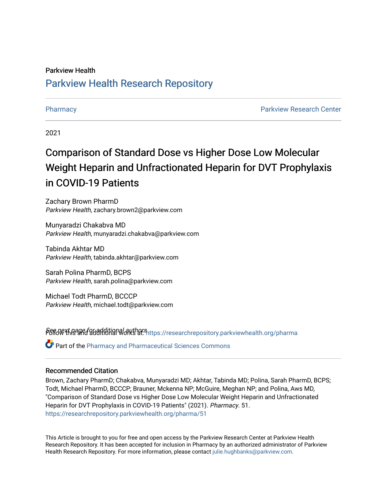# Parkview Health [Parkview Health Research Repository](https://researchrepository.parkviewhealth.org/)

[Pharmacy](https://researchrepository.parkviewhealth.org/pharma) **Parkview Research Center Parkview Research Center** 

2021

# Comparison of Standard Dose vs Higher Dose Low Molecular Weight Heparin and Unfractionated Heparin for DVT Prophylaxis in COVID-19 Patients

Zachary Brown PharmD Parkview Health, zachary.brown2@parkview.com

Munyaradzi Chakabva MD Parkview Health, munyaradzi.chakabva@parkview.com

Tabinda Akhtar MD Parkview Health, tabinda.akhtar@parkview.com

Sarah Polina PharmD, BCPS Parkview Health, sarah.polina@parkview.com

Michael Todt PharmD, BCCCP Parkview Health, michael.todt@parkview.com

Pert of the and all alternal authors in the search repository.parkviewhealth.org/pharma

Part of the [Pharmacy and Pharmaceutical Sciences Commons](http://network.bepress.com/hgg/discipline/731?utm_source=researchrepository.parkviewhealth.org%2Fpharma%2F51&utm_medium=PDF&utm_campaign=PDFCoverPages)

## Recommended Citation

Brown, Zachary PharmD; Chakabva, Munyaradzi MD; Akhtar, Tabinda MD; Polina, Sarah PharmD, BCPS; Todt, Michael PharmD, BCCCP; Brauner, Mckenna NP; McGuire, Meghan NP; and Polina, Aws MD, "Comparison of Standard Dose vs Higher Dose Low Molecular Weight Heparin and Unfractionated Heparin for DVT Prophylaxis in COVID-19 Patients" (2021). Pharmacy. 51. [https://researchrepository.parkviewhealth.org/pharma/51](https://researchrepository.parkviewhealth.org/pharma/51?utm_source=researchrepository.parkviewhealth.org%2Fpharma%2F51&utm_medium=PDF&utm_campaign=PDFCoverPages)

This Article is brought to you for free and open access by the Parkview Research Center at Parkview Health Research Repository. It has been accepted for inclusion in Pharmacy by an authorized administrator of Parkview Health Research Repository. For more information, please contact [julie.hughbanks@parkview.com](mailto:julie.hughbanks@parkview.com).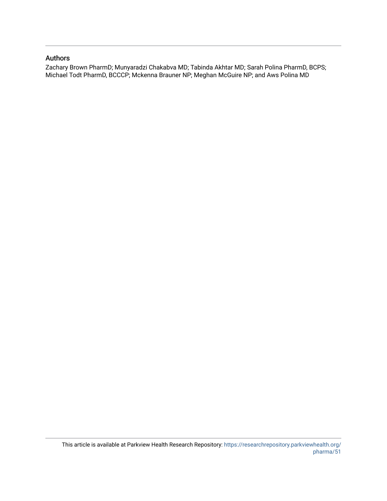# Authors

Zachary Brown PharmD; Munyaradzi Chakabva MD; Tabinda Akhtar MD; Sarah Polina PharmD, BCPS; Michael Todt PharmD, BCCCP; Mckenna Brauner NP; Meghan McGuire NP; and Aws Polina MD